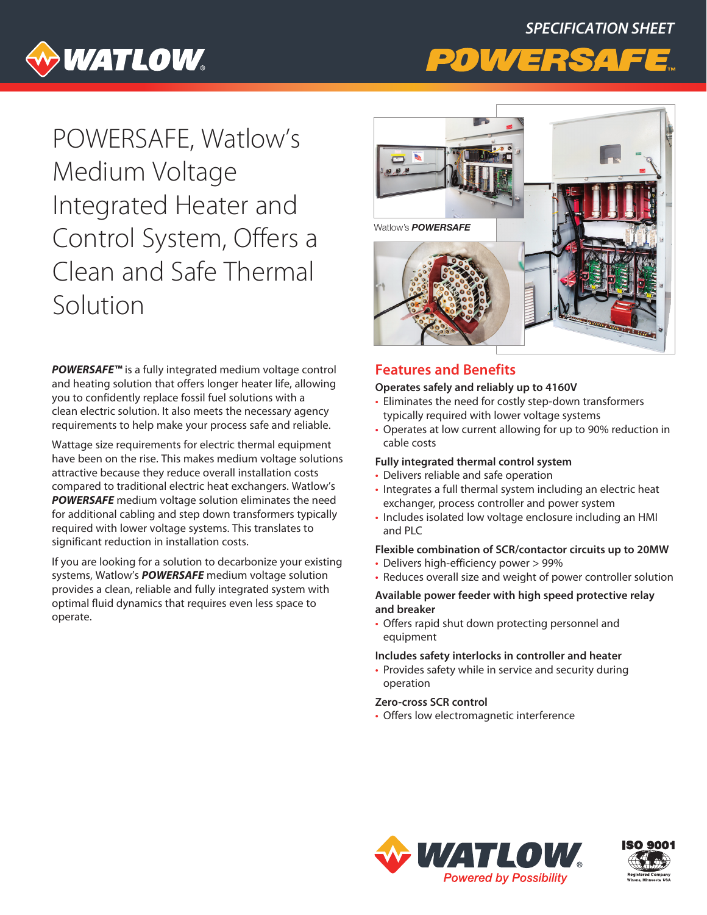# *SPECIFICATION SHEET*



## POWERSAFE, Watlow's Medium Voltage Integrated Heater and Control System, Offers a Clean and Safe Thermal Solution

*POWERSAFE™* is a fully integrated medium voltage control and heating solution that offers longer heater life, allowing you to confidently replace fossil fuel solutions with a clean electric solution. It also meets the necessary agency requirements to help make your process safe and reliable.

Wattage size requirements for electric thermal equipment have been on the rise. This makes medium voltage solutions attractive because they reduce overall installation costs compared to traditional electric heat exchangers. Watlow's *POWERSAFE* medium voltage solution eliminates the need for additional cabling and step down transformers typically required with lower voltage systems. This translates to significant reduction in installation costs.

If you are looking for a solution to decarbonize your existing systems, Watlow's *POWERSAFE* medium voltage solution provides a clean, reliable and fully integrated system with optimal fluid dynamics that requires even less space to operate.



#### **Features and Benefits**

#### **Operates safely and reliably up to 4160V**

- Eliminates the need for costly step-down transformers typically required with lower voltage systems
- Operates at low current allowing for up to 90% reduction in cable costs

#### **Fully integrated thermal control system**

- Delivers reliable and safe operation
- Integrates a full thermal system including an electric heat exchanger, process controller and power system
- Includes isolated low voltage enclosure including an HMI and PLC

#### **Flexible combination of SCR/contactor circuits up to 20MW**

- Delivers high-efficiency power > 99%
- Reduces overall size and weight of power controller solution

#### **Available power feeder with high speed protective relay and breaker**

• Offers rapid shut down protecting personnel and equipment

#### **Includes safety interlocks in controller and heater**

• Provides safety while in service and security during operation

#### **Zero-cross SCR control**

• Offers low electromagnetic interference